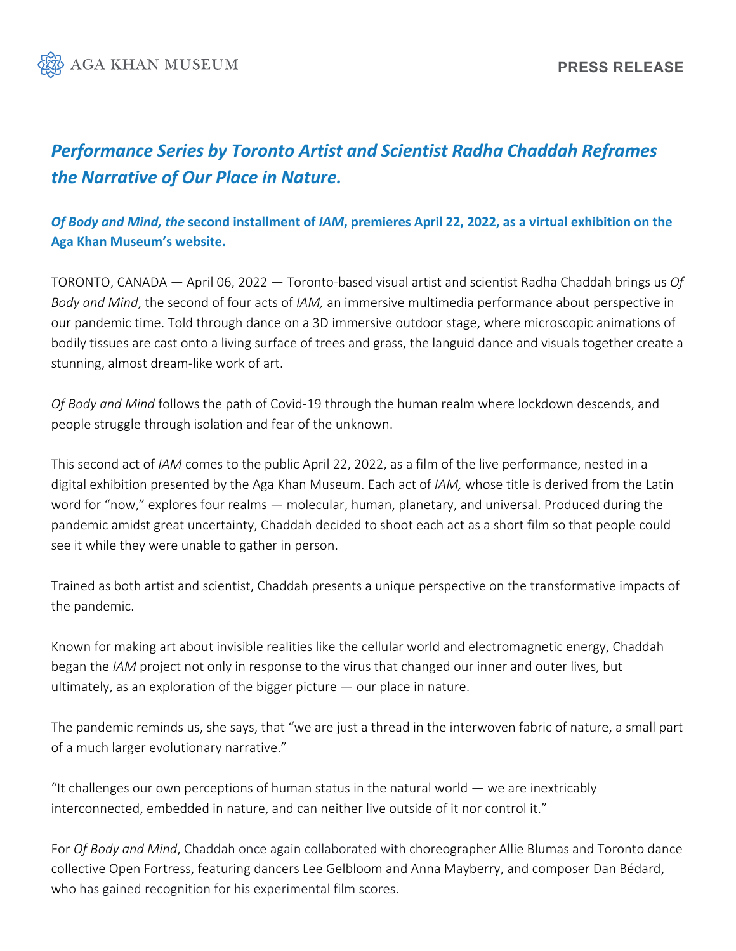

# *Performance Series by Toronto Artist and Scientist Radha Chaddah Reframes the Narrative of Our Place in Nature.*

## *Of Body and Mind, the* **second installment of** *IAM***, premieres April 22, 2022, as a virtual exhibition on the Aga Khan Museum's website.**

TORONTO, CANADA — April 06, 2022 — Toronto-based visual artist and scientist Radha Chaddah brings us *Of Body and Mind*, the second of four acts of *IAM,* an immersive multimedia performance about perspective in our pandemic time. Told through dance on a 3D immersive outdoor stage, where microscopic animations of bodily tissues are cast onto a living surface of trees and grass, the languid dance and visuals together create a stunning, almost dream-like work of art.

*Of Body and Mind* follows the path of Covid-19 through the human realm where lockdown descends, and people struggle through isolation and fear of the unknown.

This second act of *IAM* comes to the public April 22, 2022, as a film of the live performance, nested in a digital exhibition presented by the Aga Khan Museum. Each act of *IAM,* whose title is derived from the Latin word for "now," explores four realms — molecular, human, planetary, and universal. Produced during the pandemic amidst great uncertainty, Chaddah decided to shoot each act as a short film so that people could see it while they were unable to gather in person.

Trained as both artist and scientist, Chaddah presents a unique perspective on the transformative impacts of the pandemic.

Known for making art about invisible realities like the cellular world and electromagnetic energy, Chaddah began the *IAM* project not only in response to the virus that changed our inner and outer lives, but ultimately, as an exploration of the bigger picture — our place in nature.

The pandemic reminds us, she says, that "we are just a thread in the interwoven fabric of nature, a small part of a much larger evolutionary narrative."

"It challenges our own perceptions of human status in the natural world — we are inextricably interconnected, embedded in nature, and can neither live outside of it nor control it."

For *Of Body and Mind*, Chaddah once again collaborated with choreographer Allie Blumas and Toronto dance collective Open Fortress, featuring dancers Lee Gelbloom and Anna Mayberry, and composer Dan Bédard, who has gained recognition for his experimental film scores.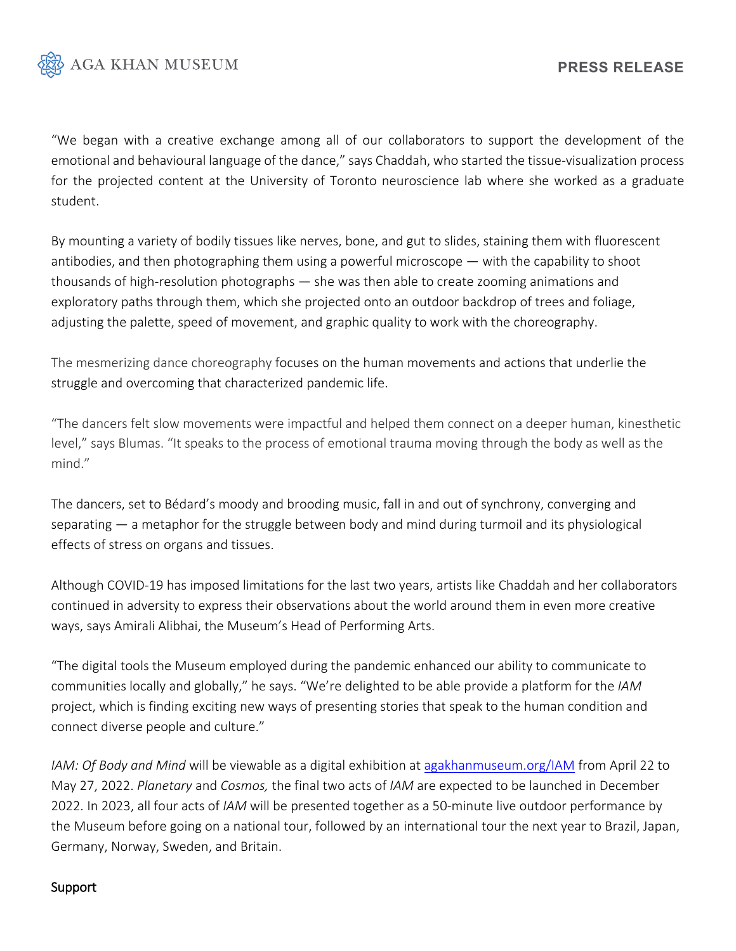

"We began with a creative exchange among all of our collaborators to support the development of the emotional and behavioural language of the dance," says Chaddah, who started the tissue-visualization process for the projected content at the University of Toronto neuroscience lab where she worked as a graduate student.

By mounting a variety of bodily tissues like nerves, bone, and gut to slides, staining them with fluorescent antibodies, and then photographing them using a powerful microscope — with the capability to shoot thousands of high-resolution photographs — she was then able to create zooming animations and exploratory paths through them, which she projected onto an outdoor backdrop of trees and foliage, adjusting the palette, speed of movement, and graphic quality to work with the choreography.

The mesmerizing dance choreography focuses on the human movements and actions that underlie the struggle and overcoming that characterized pandemic life.

"The dancers felt slow movements were impactful and helped them connect on a deeper human, kinesthetic level," says Blumas. "It speaks to the process of emotional trauma moving through the body as well as the mind."

The dancers, set to Bédard's moody and brooding music, fall in and out of synchrony, converging and separating  $-$  a metaphor for the struggle between body and mind during turmoil and its physiological effects of stress on organs and tissues.

Although COVID-19 has imposed limitations for the last two years, artists like Chaddah and her collaborators continued in adversity to express their observations about the world around them in even more creative ways, says Amirali Alibhai, the Museum's Head of Performing Arts.

"The digital tools the Museum employed during the pandemic enhanced our ability to communicate to communities locally and globally," he says. "We're delighted to be able provide a platform for the *IAM* project, which is finding exciting new ways of presenting stories that speak to the human condition and connect diverse people and culture."

*IAM: Of Body and Mind* will be viewable as a digital exhibition at [agakhanmuseum.org/IAM](http://www.agakhanmuseum.com/IAM) from April 22 to May 27, 2022. *Planetary* and *Cosmos,* the final two acts of *IAM* are expected to be launched in December 2022. In 2023, all four acts of *IAM* will be presented together as a 50-minute live outdoor performance by the Museum before going on a national tour, followed by an international tour the next year to Brazil, Japan, Germany, Norway, Sweden, and Britain.

#### Support